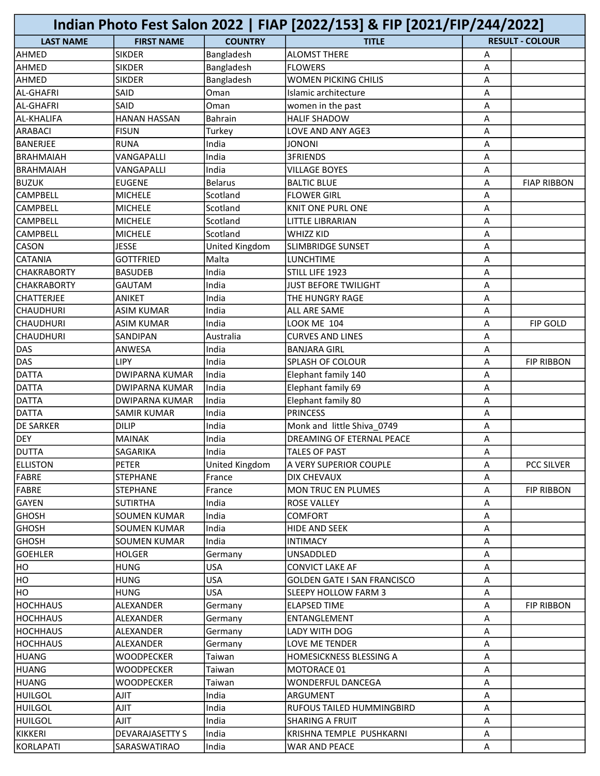|                           |                        |                | Indian Photo Fest Salon 2022   FIAP [2022/153] & FIP [2021/FIP/244/2022] |   |                        |
|---------------------------|------------------------|----------------|--------------------------------------------------------------------------|---|------------------------|
| <b>LAST NAME</b>          | <b>FIRST NAME</b>      | <b>COUNTRY</b> | <b>TITLE</b>                                                             |   | <b>RESULT - COLOUR</b> |
| AHMED                     | <b>SIKDER</b>          | Bangladesh     | <b>ALOMST THERE</b>                                                      | Α |                        |
| AHMED                     | <b>SIKDER</b>          | Bangladesh     | <b>FLOWERS</b>                                                           | A |                        |
| AHMED                     | <b>SIKDER</b>          | Bangladesh     | <b>WOMEN PICKING CHILIS</b>                                              | Α |                        |
| AL-GHAFRI                 | SAID                   | Oman           | Islamic architecture                                                     | Α |                        |
| AL-GHAFRI                 | SAID                   | Oman           | women in the past                                                        | A |                        |
| <b>AL-KHALIFA</b>         | <b>HANAN HASSAN</b>    | Bahrain        | <b>HALIF SHADOW</b>                                                      | Α |                        |
| ARABACI                   | <b>FISUN</b>           | Turkey         | LOVE AND ANY AGE3                                                        | A |                        |
| BANERJEE                  | <b>RUNA</b>            | India          | <b>JONONI</b>                                                            | Α |                        |
| <b>BRAHMAIAH</b>          | VANGAPALLI             | India          | <b>3FRIENDS</b>                                                          | Α |                        |
| BRAHMAIAH                 | VANGAPALLI             | India          | <b>VILLAGE BOYES</b>                                                     | Α |                        |
| <b>BUZUK</b>              | <b>EUGENE</b>          | <b>Belarus</b> | <b>BALTIC BLUE</b>                                                       | Α | <b>FIAP RIBBON</b>     |
| <b>CAMPBELL</b>           | <b>MICHELE</b>         | Scotland       | <b>FLOWER GIRL</b>                                                       | Α |                        |
| <b>CAMPBELL</b>           | <b>MICHELE</b>         | Scotland       | <b>KNIT ONE PURL ONE</b>                                                 | A |                        |
|                           |                        |                | <b>LITTLE LIBRARIAN</b>                                                  |   |                        |
| <b>CAMPBELL</b>           | <b>MICHELE</b>         | Scotland       |                                                                          | Α |                        |
| <b>CAMPBELL</b>           | <b>MICHELE</b>         | Scotland       | <b>WHIZZ KID</b>                                                         | Α |                        |
| <b>CASON</b>              | <b>JESSE</b>           | United Kingdom | <b>SLIMBRIDGE SUNSET</b>                                                 | A |                        |
| <b>CATANIA</b>            | <b>GOTTFRIED</b>       | Malta          | <b>LUNCHTIME</b>                                                         | Α |                        |
| <b>CHAKRABORTY</b>        | <b>BASUDEB</b>         | India          | STILL LIFE 1923                                                          | A |                        |
| <i><b>CHAKRABORTY</b></i> | <b>GAUTAM</b>          | India          | <b>JUST BEFORE TWILIGHT</b>                                              | Α |                        |
| <b>CHATTERJEE</b>         | <b>ANIKET</b>          | India          | <b>THE HUNGRY RAGE</b>                                                   | A |                        |
| <b>CHAUDHURI</b>          | <b>ASIM KUMAR</b>      | India          | ALL ARE SAME                                                             | A |                        |
| <b>CHAUDHURI</b>          | <b>ASIM KUMAR</b>      | India          | <b>LOOK ME 104</b>                                                       | Α | <b>FIP GOLD</b>        |
| <b>CHAUDHURI</b>          | <b>SANDIPAN</b>        | Australia      | <b>CURVES AND LINES</b>                                                  | A |                        |
| DAS                       | <b>ANWESA</b>          | India          | <b>BANJARA GIRL</b>                                                      | A |                        |
| <b>DAS</b>                | LIPY                   | India          | <b>SPLASH OF COLOUR</b>                                                  | A | <b>FIP RIBBON</b>      |
| <b>DATTA</b>              | <b>DWIPARNA KUMAR</b>  | India          | Elephant family 140                                                      | Α |                        |
| <b>DATTA</b>              | <b>DWIPARNA KUMAR</b>  | India          | Elephant family 69                                                       | A |                        |
| <b>DATTA</b>              | <b>DWIPARNA KUMAR</b>  | India          | Elephant family 80                                                       | Α |                        |
| <b>DATTA</b>              | SAMIR KUMAR            | India          | <b>PRINCESS</b>                                                          | A |                        |
| <b>DE SARKER</b>          | <b>DILIP</b>           | India          | Monk and little Shiva 0749                                               | Α |                        |
| DEY                       | <b>MAINAK</b>          | India          | DREAMING OF ETERNAL PEACE                                                | Α |                        |
| <b>DUTTA</b>              | SAGARIKA               | India          | <b>TALES OF PAST</b>                                                     | Α |                        |
| <b>ELLISTON</b>           | <b>PETER</b>           | United Kingdom | A VERY SUPERIOR COUPLE                                                   | А | PCC SILVER             |
| FABRE                     | <b>STEPHANE</b>        | France         | <b>DIX CHEVAUX</b>                                                       | Α |                        |
| FABRE                     | <b>STEPHANE</b>        | France         | <b>MON TRUC EN PLUMES</b>                                                | Α | <b>FIP RIBBON</b>      |
| GAYEN                     | <b>SUTIRTHA</b>        | India          | <b>ROSE VALLEY</b>                                                       | Α |                        |
| <b>GHOSH</b>              | <b>SOUMEN KUMAR</b>    | India          | <b>COMFORT</b>                                                           | Α |                        |
| <b>GHOSH</b>              | <b>SOUMEN KUMAR</b>    | India          | <b>HIDE AND SEEK</b>                                                     | Α |                        |
| <b>GHOSH</b>              | SOUMEN KUMAR           | India          | <b>INTIMACY</b>                                                          | Α |                        |
| <b>GOEHLER</b>            | <b>HOLGER</b>          | Germany        | UNSADDLED                                                                | Α |                        |
| HO.                       | <b>HUNG</b>            | <b>USA</b>     | <b>CONVICT LAKE AF</b>                                                   | A |                        |
| HO                        | <b>HUNG</b>            | <b>USA</b>     | <b>GOLDEN GATE I SAN FRANCISCO</b>                                       | Α |                        |
| HO                        | <b>HUNG</b>            | <b>USA</b>     | <b>SLEEPY HOLLOW FARM 3</b>                                              | Α |                        |
| <b>HOCHHAUS</b>           | ALEXANDER              | Germany        | <b>ELAPSED TIME</b>                                                      | Α | <b>FIP RIBBON</b>      |
| <b>HOCHHAUS</b>           | ALEXANDER              |                | ENTANGLEMENT                                                             | Α |                        |
|                           |                        | Germany        |                                                                          |   |                        |
| HOCHHAUS                  | ALEXANDER              | Germany        | LADY WITH DOG                                                            | Α |                        |
| <b>HOCHHAUS</b>           | ALEXANDER              | Germany        | LOVE ME TENDER                                                           | Α |                        |
| HUANG                     | WOODPECKER             | Taiwan         | <b>HOMESICKNESS BLESSING A</b>                                           | Α |                        |
| HUANG                     | WOODPECKER             | Taiwan         | MOTORACE 01                                                              | Α |                        |
| HUANG                     | WOODPECKER             | Taiwan         | <b>WONDERFUL DANCEGA</b>                                                 | Α |                        |
| HUILGOL                   | AJIT                   | India          | <b>ARGUMENT</b>                                                          | Α |                        |
| <b>HUILGOL</b>            | <b>AJIT</b>            | India          | RUFOUS TAILED HUMMINGBIRD                                                | A |                        |
| HUILGOL                   | TILA                   | India          | <b>SHARING A FRUIT</b>                                                   | Α |                        |
| KIKKERI                   | <b>DEVARAJASETTY S</b> | India          | KRISHNA TEMPLE PUSHKARNI                                                 | Α |                        |
| KORLAPATI                 | SARASWATIRAO           | India          | WAR AND PEACE                                                            | A |                        |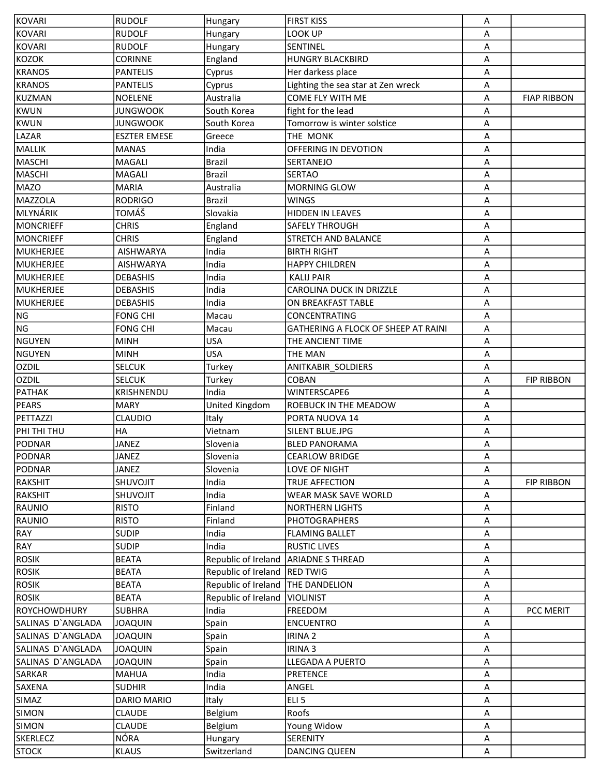| <b>KOVARI</b>       | <b>RUDOLF</b>       | Hungary                      | <b>FIRST KISS</b>                    | Α |                    |
|---------------------|---------------------|------------------------------|--------------------------------------|---|--------------------|
| <b>KOVARI</b>       | <b>RUDOLF</b>       | Hungary                      | LOOK UP                              | Α |                    |
| <b>KOVARI</b>       | <b>RUDOLF</b>       | Hungary                      | SENTINEL                             | A |                    |
| <b>KOZOK</b>        | <b>CORINNE</b>      | England                      | <b>HUNGRY BLACKBIRD</b>              | Α |                    |
| <b>KRANOS</b>       | <b>PANTELIS</b>     | Cyprus                       | Her darkess place                    | Α |                    |
| <b>KRANOS</b>       | <b>PANTELIS</b>     | Cyprus                       | Lighting the sea star at Zen wreck   | A |                    |
| <b>KUZMAN</b>       | <b>NOELENE</b>      | Australia                    | <b>COME FLY WITH ME</b>              | Α | <b>FIAP RIBBON</b> |
| <b>KWUN</b>         | <b>JUNGWOOK</b>     | South Korea                  | fight for the lead                   | Α |                    |
| <b>KWUN</b>         | <b>JUNGWOOK</b>     | South Korea                  | Tomorrow is winter solstice          | Α |                    |
| LAZAR               | <b>ESZTER EMESE</b> | Greece                       | THE MONK                             | A |                    |
| MALLIK              | <b>MANAS</b>        | India                        | OFFERING IN DEVOTION                 | A |                    |
| <b>MASCHI</b>       | MAGALI              | <b>Brazil</b>                | <b>SERTANEJO</b>                     | Α |                    |
| <b>MASCHI</b>       | <b>MAGALI</b>       | <b>Brazil</b>                | <b>SERTAO</b>                        | Α |                    |
| <b>MAZO</b>         | <b>MARIA</b>        | Australia                    | <b>MORNING GLOW</b>                  | Α |                    |
| <b>MAZZOLA</b>      | <b>RODRIGO</b>      | <b>Brazil</b>                | <b>WINGS</b>                         | Α |                    |
| MLYNÁRIK            | TOMÁŠ               | Slovakia                     | HIDDEN IN LEAVES                     | Α |                    |
| <b>MONCRIEFF</b>    | <b>CHRIS</b>        | England                      | <b>SAFELY THROUGH</b>                | A |                    |
| <b>MONCRIEFF</b>    | <b>CHRIS</b>        | England                      | <b>STRETCH AND BALANCE</b>           | Α |                    |
| <b>MUKHERJEE</b>    | <b>AISHWARYA</b>    | India                        | <b>BIRTH RIGHT</b>                   | Α |                    |
| <b>MUKHERJEE</b>    | <b>AISHWARYA</b>    | India                        | <b>HAPPY CHILDREN</b>                | Α |                    |
| <b>MUKHERJEE</b>    | <b>DEBASHIS</b>     | India                        | <b>KALIJ PAIR</b>                    | Α |                    |
| <b>MUKHERJEE</b>    | <b>DEBASHIS</b>     | India                        | CAROLINA DUCK IN DRIZZLE             | Α |                    |
|                     |                     | India                        |                                      |   |                    |
| <b>MUKHERJEE</b>    | <b>DEBASHIS</b>     |                              | ON BREAKFAST TABLE                   | Α |                    |
| <b>NG</b>           | <b>FONG CHI</b>     | Macau                        | CONCENTRATING                        | A |                    |
| <b>NG</b>           | <b>FONG CHI</b>     | Macau                        | GATHERING A FLOCK OF SHEEP AT RAINI  | Α |                    |
| <b>NGUYEN</b>       | <b>MINH</b>         | <b>USA</b>                   | THE ANCIENT TIME                     | Α |                    |
| <b>NGUYEN</b>       | <b>MINH</b>         | <b>USA</b>                   | THE MAN                              | Α |                    |
| <b>OZDIL</b>        | <b>SELCUK</b>       | Turkey                       | ANITKABIR_SOLDIERS                   | Α |                    |
| <b>OZDIL</b>        | <b>SELCUK</b>       | Turkey                       | <b>COBAN</b>                         | Α | <b>FIP RIBBON</b>  |
| <b>PATHAK</b>       | KRISHNENDU          | India                        | WINTERSCAPE6                         | Α |                    |
| <b>PEARS</b>        | <b>MARY</b>         | United Kingdom               | <b>ROEBUCK IN THE MEADOW</b>         | A |                    |
| <b>PETTAZZI</b>     | <b>CLAUDIO</b>      | Italy                        | PORTA NUOVA 14                       | Α |                    |
| PHI THI THU         | HA                  | Vietnam                      | SILENT BLUE.JPG                      | Α |                    |
| <b>PODNAR</b>       | <b>JANEZ</b>        | Slovenia                     | <b>BLED PANORAMA</b>                 | Α |                    |
| PODNAR              | <b>JANEZ</b>        | Slovenia                     | <b>CEARLOW BRIDGE</b>                | Α |                    |
| <b>PODNAR</b>       | <b>JANEZ</b>        | Slovenia                     | LOVE OF NIGHT                        | Α |                    |
| RAKSHIT             | SHUVOJIT            | India                        | TRUE AFFECTION                       | Α | <b>FIP RIBBON</b>  |
| RAKSHIT             | SHUVOJIT            | India                        | <b>WEAR MASK SAVE WORLD</b>          | Α |                    |
| RAUNIO              | <b>RISTO</b>        | Finland                      | <b>NORTHERN LIGHTS</b>               | Α |                    |
| <b>RAUNIO</b>       | <b>RISTO</b>        | Finland                      | <b>PHOTOGRAPHERS</b>                 | Α |                    |
| RAY                 | <b>SUDIP</b>        | India                        | <b>FLAMING BALLET</b>                | A |                    |
| RAY                 | <b>SUDIP</b>        | India                        | <b>RUSTIC LIVES</b>                  | Α |                    |
| <b>ROSIK</b>        | <b>BEATA</b>        |                              | Republic of Ireland ARIADNE S THREAD | Α |                    |
| <b>ROSIK</b>        | <b>BEATA</b>        | Republic of Ireland RED TWIG |                                      | Α |                    |
| <b>ROSIK</b>        | <b>BEATA</b>        | Republic of Ireland          | <b>THE DANDELION</b>                 | Α |                    |
| <b>ROSIK</b>        | <b>BEATA</b>        | Republic of Ireland          | <b>VIOLINIST</b>                     | Α |                    |
| <b>ROYCHOWDHURY</b> | <b>SUBHRA</b>       | India                        | FREEDOM                              | Α | PCC MERIT          |
| SALINAS D'ANGLADA   | <b>JOAQUIN</b>      | Spain                        | <b>ENCUENTRO</b>                     | Α |                    |
| SALINAS D'ANGLADA   | <b>JOAQUIN</b>      | Spain                        | <b>IRINA 2</b>                       | Α |                    |
| SALINAS D'ANGLADA   | <b>JOAQUIN</b>      | Spain                        | <b>IRINA 3</b>                       | Α |                    |
| SALINAS D'ANGLADA   | JOAQUIN             | Spain                        | LLEGADA A PUERTO                     | Α |                    |
| SARKAR              | <b>MAHUA</b>        | India                        | <b>PRETENCE</b>                      | Α |                    |
| SAXENA              | <b>SUDHIR</b>       | India                        | ANGEL                                | A |                    |
| SIMAZ               | DARIO MARIO         | Italy                        | ELI <sub>5</sub>                     | Α |                    |
| <b>SIMON</b>        | <b>CLAUDE</b>       | Belgium                      | Roofs                                | A |                    |
| SIMON               | <b>CLAUDE</b>       | Belgium                      | Young Widow                          | Α |                    |
| <b>SKERLECZ</b>     | NÓRA                | Hungary                      | <b>SERENITY</b>                      | A |                    |
| <b>STOCK</b>        | <b>KLAUS</b>        | Switzerland                  | <b>DANCING QUEEN</b>                 | A |                    |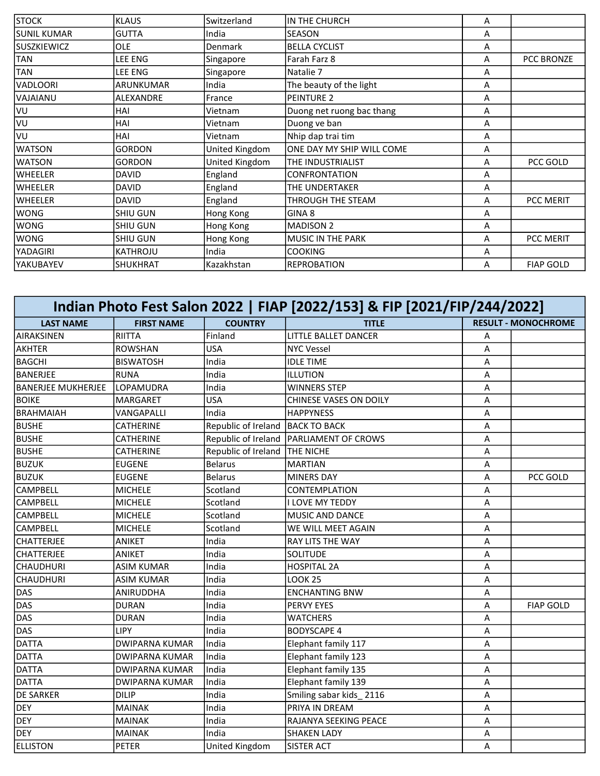| <b>STOCK</b>       | <b>KLAUS</b>     | Switzerland    | IN THE CHURCH             | Α |                  |
|--------------------|------------------|----------------|---------------------------|---|------------------|
| <b>SUNIL KUMAR</b> | <b>GUTTA</b>     | India          | lseason                   | A |                  |
| <b>SUSZKIEWICZ</b> | OLE              | <b>Denmark</b> | <b>BELLA CYCLIST</b>      | A |                  |
| <b>TAN</b>         | LEE ENG          | Singapore      | Farah Farz 8              | A | PCC BRONZE       |
| <b>TAN</b>         | LEE ENG          | Singapore      | Natalie 7                 | A |                  |
| VADLOORI           | ARUNKUMAR        | India          | The beauty of the light   | A |                  |
| VAJAIANU           | <b>ALEXANDRE</b> | France         | PEINTURE 2                | A |                  |
| VU                 | HAI              | Vietnam        | Duong net ruong bac thang | A |                  |
| VU                 | HAI              | Vietnam        | Duong ve ban              | A |                  |
| VU                 | HAI              | Vietnam        | Nhip dap trai tim         | Α |                  |
| <b>WATSON</b>      | <b>GORDON</b>    | United Kingdom | ONE DAY MY SHIP WILL COME | A |                  |
| <b>WATSON</b>      | <b>GORDON</b>    | United Kingdom | THE INDUSTRIALIST         | A | PCC GOLD         |
| <b>WHEELER</b>     | <b>DAVID</b>     | England        | <b>CONFRONTATION</b>      | A |                  |
| <b>WHEELER</b>     | DAVID            | England        | THE UNDERTAKER            | A |                  |
| <b>WHEELER</b>     | <b>DAVID</b>     | England        | THROUGH THE STEAM         | A | PCC MERIT        |
| <b>WONG</b>        | SHIU GUN         | Hong Kong      | GINA <sub>8</sub>         | A |                  |
| <b>WONG</b>        | <b>SHIU GUN</b>  | Hong Kong      | <b>MADISON 2</b>          | Α |                  |
| <b>WONG</b>        | <b>SHIU GUN</b>  | Hong Kong      | MUSIC IN THE PARK         | A | <b>PCC MERIT</b> |
| YADAGIRI           | KATHROJU         | India          | <b>COOKING</b>            | A |                  |
| <b>YAKUBAYEV</b>   | SHUKHRAT         | Kazakhstan     | REPROBATION               | A | <b>FIAP GOLD</b> |

| Indian Photo Fest Salon 2022   FIAP [2022/153] & FIP [2021/FIP/244/2022] |                       |                     |                                           |   |                            |
|--------------------------------------------------------------------------|-----------------------|---------------------|-------------------------------------------|---|----------------------------|
| <b>LAST NAME</b>                                                         | <b>FIRST NAME</b>     | <b>COUNTRY</b>      | <b>TITLE</b>                              |   | <b>RESULT - MONOCHROME</b> |
| <b>AIRAKSINEN</b>                                                        | <b>RIITTA</b>         | Finland             | LITTLE BALLET DANCER                      | A |                            |
| <b>AKHTER</b>                                                            | <b>ROWSHAN</b>        | <b>USA</b>          | <b>NYC Vessel</b>                         | A |                            |
| <b>BAGCHI</b>                                                            | <b>BISWATOSH</b>      | India               | <b>IDLE TIME</b>                          | A |                            |
| <b>BANERJEE</b>                                                          | <b>RUNA</b>           | India               | ILLUTION                                  | Α |                            |
| <b>BANERJEE MUKHERJEE</b>                                                | LOPAMUDRA             | India               | <b>WINNERS STEP</b>                       | Α |                            |
| <b>BOIKE</b>                                                             | <b>MARGARET</b>       | <b>USA</b>          | <b>CHINESE VASES ON DOILY</b>             | Α |                            |
| <b>BRAHMAIAH</b>                                                         | VANGAPALLI            | India               | <b>HAPPYNESS</b>                          | A |                            |
| <b>BUSHE</b>                                                             | <b>CATHERINE</b>      | Republic of Ireland | <b>BACK TO BACK</b>                       | A |                            |
| <b>BUSHE</b>                                                             | <b>CATHERINE</b>      |                     | Republic of Ireland   PARLIAMENT OF CROWS | Α |                            |
| <b>BUSHE</b>                                                             | <b>CATHERINE</b>      | Republic of Ireland | <b>THE NICHE</b>                          | A |                            |
| <b>BUZUK</b>                                                             | <b>EUGENE</b>         | <b>Belarus</b>      | <b>MARTIAN</b>                            | A |                            |
| <b>BUZUK</b>                                                             | <b>EUGENE</b>         | <b>Belarus</b>      | <b>MINERS DAY</b>                         | A | PCC GOLD                   |
| <b>CAMPBELL</b>                                                          | <b>MICHELE</b>        | Scotland            | <b>CONTEMPLATION</b>                      | A |                            |
| <b>CAMPBELL</b>                                                          | <b>MICHELE</b>        | Scotland            | <b>I LOVE MY TEDDY</b>                    | Α |                            |
| <b>CAMPBELL</b>                                                          | <b>MICHELE</b>        | Scotland            | <b>MUSIC AND DANCE</b>                    | Α |                            |
| <b>CAMPBELL</b>                                                          | <b>MICHELE</b>        | Scotland            | WE WILL MEET AGAIN                        | Α |                            |
| <b>CHATTERJEE</b>                                                        | <b>ANIKET</b>         | India               | <b>RAY LITS THE WAY</b>                   | Α |                            |
| <b>CHATTERJEE</b>                                                        | <b>ANIKET</b>         | India               | <b>SOLITUDE</b>                           | A |                            |
| <b>CHAUDHURI</b>                                                         | <b>ASIM KUMAR</b>     | India               | <b>HOSPITAL 2A</b>                        | А |                            |
| <b>CHAUDHURI</b>                                                         | <b>ASIM KUMAR</b>     | India               | <b>LOOK 25</b>                            | А |                            |
| DAS                                                                      | <b>ANIRUDDHA</b>      | India               | <b>ENCHANTING BNW</b>                     | A |                            |
| DAS                                                                      | <b>DURAN</b>          | India               | PERVY EYES                                | А | <b>FIAP GOLD</b>           |
| DAS                                                                      | <b>DURAN</b>          | India               | <b>WATCHERS</b>                           | A |                            |
| <b>DAS</b>                                                               | LIPY                  | India               | <b>BODYSCAPE 4</b>                        | Α |                            |
| <b>DATTA</b>                                                             | <b>DWIPARNA KUMAR</b> | India               | Elephant family 117                       | Α |                            |
| <b>DATTA</b>                                                             | <b>DWIPARNA KUMAR</b> | India               | Elephant family 123                       | A |                            |
| <b>DATTA</b>                                                             | <b>DWIPARNA KUMAR</b> | India               | Elephant family 135                       | Α |                            |
| DATTA                                                                    | <b>DWIPARNA KUMAR</b> | India               | Elephant family 139                       | А |                            |
| <b>DE SARKER</b>                                                         | <b>DILIP</b>          | India               | Smiling sabar kids 2116                   | A |                            |
| <b>DEY</b>                                                               | <b>MAINAK</b>         | India               | PRIYA IN DREAM                            | Α |                            |
| <b>DEY</b>                                                               | <b>MAINAK</b>         | India               | RAJANYA SEEKING PEACE                     | А |                            |
| <b>DEY</b>                                                               | <b>MAINAK</b>         | India               | <b>SHAKEN LADY</b>                        | А |                            |
| <b>ELLISTON</b>                                                          | PETER                 | United Kingdom      | <b>SISTER ACT</b>                         | A |                            |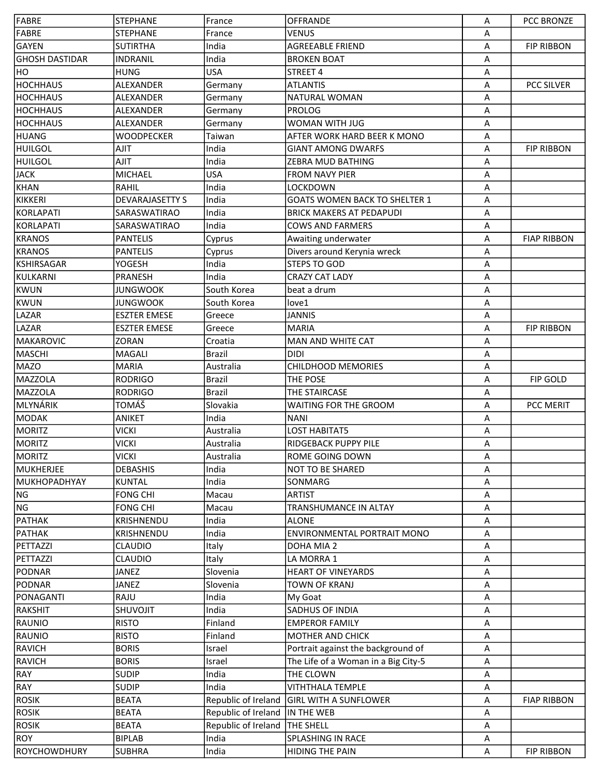| FABRE                 | <b>STEPHANE</b>        | France                          | <b>OFFRANDE</b>                                                           | Α | <b>PCC BRONZE</b>  |
|-----------------------|------------------------|---------------------------------|---------------------------------------------------------------------------|---|--------------------|
| FABRE                 | <b>STEPHANE</b>        | France                          | <b>VENUS</b>                                                              | Α |                    |
| GAYEN                 | <b>SUTIRTHA</b>        | India                           | <b>AGREEABLE FRIEND</b>                                                   | A | <b>FIP RIBBON</b>  |
| <b>GHOSH DASTIDAR</b> | <b>INDRANIL</b>        | India                           | <b>BROKEN BOAT</b>                                                        | Α |                    |
| HO                    | <b>HUNG</b>            | <b>USA</b>                      | STREET 4                                                                  | Α |                    |
| <b>HOCHHAUS</b>       | ALEXANDER              | Germany                         | <b>ATLANTIS</b>                                                           | A | PCC SILVER         |
| <b>HOCHHAUS</b>       | ALEXANDER              | Germany                         | <b>NATURAL WOMAN</b>                                                      | Α |                    |
| <b>HOCHHAUS</b>       | ALEXANDER              | Germany                         | <b>PROLOG</b>                                                             | A |                    |
| <b>HOCHHAUS</b>       | ALEXANDER              |                                 | WOMAN WITH JUG                                                            | Α |                    |
| HUANG                 |                        | Germany                         | AFTER WORK HARD BEER K MONO                                               |   |                    |
|                       | <b>WOODPECKER</b>      | Taiwan                          |                                                                           | A |                    |
| <b>HUILGOL</b>        | <b>AJIT</b>            | India                           | <b>GIANT AMONG DWARFS</b>                                                 | A | <b>FIP RIBBON</b>  |
| HUILGOL               | AJIT                   | India                           | ZEBRA MUD BATHING                                                         | Α |                    |
| <b>JACK</b>           | <b>MICHAEL</b>         | <b>USA</b>                      | <b>FROM NAVY PIER</b>                                                     | Α |                    |
| KHAN                  | <b>RAHIL</b>           | India                           | <b>LOCKDOWN</b>                                                           | A |                    |
| KIKKERI               | <b>DEVARAJASETTY S</b> | India                           | <b>GOATS WOMEN BACK TO SHELTER 1</b>                                      | A |                    |
| KORLAPATI             | SARASWATIRAO           | India                           | <b>BRICK MAKERS AT PEDAPUDI</b>                                           | A |                    |
| KORLAPATI             | SARASWATIRAO           | India                           | <b>COWS AND FARMERS</b>                                                   | A |                    |
| <b>KRANOS</b>         | <b>PANTELIS</b>        | Cyprus                          | Awaiting underwater                                                       | Α | <b>FIAP RIBBON</b> |
| <b>KRANOS</b>         | <b>PANTELIS</b>        | Cyprus                          | Divers around Kerynia wreck                                               | A |                    |
| KSHIRSAGAR            | YOGESH                 | India                           | <b>STEPS TO GOD</b>                                                       | Α |                    |
| KULKARNI              | <b>PRANESH</b>         | India                           | <b>CRAZY CAT LADY</b>                                                     | Α |                    |
| KWUN                  | <b>JUNGWOOK</b>        | South Korea                     | beat a drum                                                               | A |                    |
| KWUN                  | <b>JUNGWOOK</b>        | South Korea                     | love1                                                                     | A |                    |
| LAZAR                 | <b>ESZTER EMESE</b>    | Greece                          | <b>JANNIS</b>                                                             | Α |                    |
| LAZAR                 | <b>ESZTER EMESE</b>    | Greece                          | <b>MARIA</b>                                                              | Α | <b>FIP RIBBON</b>  |
| MAKAROVIC             | <b>ZORAN</b>           | Croatia                         | <b>MAN AND WHITE CAT</b>                                                  | Α |                    |
| MASCHI                | MAGALI                 | <b>Brazil</b>                   | <b>DIDI</b>                                                               | Α |                    |
| MAZO                  | <b>MARIA</b>           | Australia                       | <b>CHILDHOOD MEMORIES</b>                                                 | Α |                    |
| MAZZOLA               | <b>RODRIGO</b>         | <b>Brazil</b>                   | THE POSE                                                                  | Α | FIP GOLD           |
| MAZZOLA               | <b>RODRIGO</b>         | <b>Brazil</b>                   | THE STAIRCASE                                                             | Α |                    |
| MLYNÁRIK              | TOMÁŠ                  | Slovakia                        | WAITING FOR THE GROOM                                                     | A | PCC MERIT          |
| MODAK                 | ANIKET                 | India                           | <b>NANI</b>                                                               | Α |                    |
| <b>MORITZ</b>         | <b>VICKI</b>           | Australia                       | <b>LOST HABITAT5</b>                                                      | А |                    |
| <b>MORITZ</b>         | <b>VICKI</b>           | Australia                       | RIDGEBACK PUPPY PILE                                                      | Α |                    |
| MORITZ                | VICKI                  | Australia                       | ROME GOING DOWN                                                           | Α |                    |
| MUKHERJEE             | <b>DEBASHIS</b>        | India                           | NOT TO BE SHARED                                                          | Α |                    |
| MUKHOPADHYAY          | <b>KUNTAL</b>          | India                           | SONMARG                                                                   | Α |                    |
| <b>NG</b>             | <b>FONG CHI</b>        | Macau                           | <b>ARTIST</b>                                                             | Α |                    |
| NG                    | <b>FONG CHI</b>        | Macau                           | TRANSHUMANCE IN ALTAY                                                     | Α |                    |
| <b>PATHAK</b>         | KRISHNENDU             | India                           | <b>ALONE</b>                                                              | Α |                    |
| <b>PATHAK</b>         | KRISHNENDU             | India                           | <b>ENVIRONMENTAL PORTRAIT MONO</b>                                        | Α |                    |
| PETTAZZI              | <b>CLAUDIO</b>         | Italy                           | DOHA MIA 2                                                                | Α |                    |
| PETTAZZI              | <b>CLAUDIO</b>         | Italy                           | LA MORRA 1                                                                | Α |                    |
| PODNAR                | JANEZ                  | Slovenia                        | <b>HEART OF VINEYARDS</b>                                                 | A |                    |
| PODNAR                | JANEZ                  | Slovenia                        | TOWN OF KRANJ                                                             | Α |                    |
| PONAGANTI             | RAJU                   | India                           | My Goat                                                                   | Α |                    |
| RAKSHIT               | SHUVOJIT               | India                           | <b>SADHUS OF INDIA</b>                                                    | Α |                    |
| RAUNIO                | <b>RISTO</b>           | Finland                         | <b>EMPEROR FAMILY</b>                                                     | Α |                    |
| RAUNIO                | <b>RISTO</b>           | Finland                         | MOTHER AND CHICK                                                          | Α |                    |
| <b>RAVICH</b>         | <b>BORIS</b>           |                                 |                                                                           |   |                    |
| <b>RAVICH</b>         | <b>BORIS</b>           | Israel<br>Israel                | Portrait against the background of<br>The Life of a Woman in a Big City-5 | Α |                    |
|                       |                        | India                           |                                                                           | Α |                    |
| RAY                   | <b>SUDIP</b>           | India                           | THE CLOWN                                                                 | Α |                    |
| RAY                   | <b>SUDIP</b>           |                                 | <b>VITHTHALA TEMPLE</b>                                                   | Α |                    |
| <b>ROSIK</b>          | <b>BEATA</b>           |                                 | Republic of Ireland GIRL WITH A SUNFLOWER                                 | Α | <b>FIAP RIBBON</b> |
| <b>ROSIK</b>          | <b>BEATA</b>           | Republic of Ireland  IN THE WEB |                                                                           | Α |                    |
| <b>ROSIK</b>          | <b>BEATA</b>           | Republic of Ireland   THE SHELL |                                                                           | Α |                    |
| <b>ROY</b>            | <b>BIPLAB</b>          | India                           | SPLASHING IN RACE                                                         | A |                    |
| ROYCHOWDHURY          | <b>SUBHRA</b>          | India                           | <b>HIDING THE PAIN</b>                                                    | A | <b>FIP RIBBON</b>  |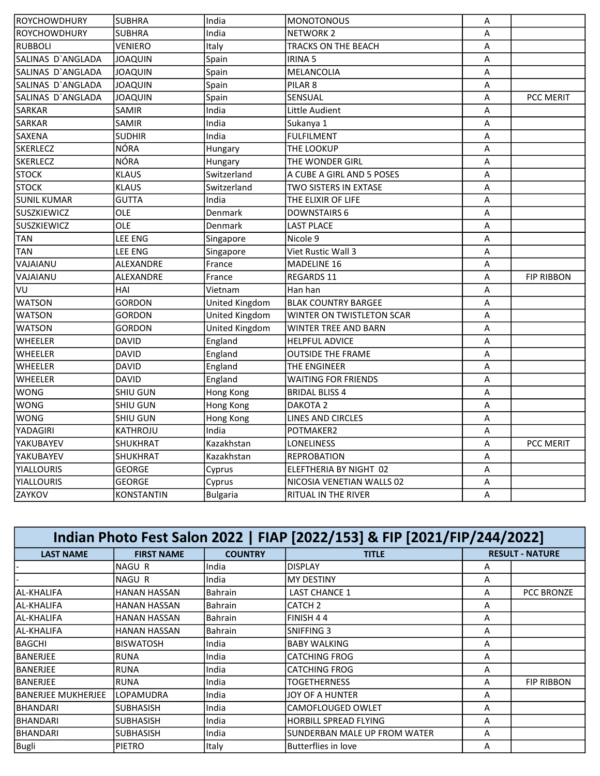| ROYCHOWDHURY        | <b>SUBHRA</b>     | India           | <b>MONOTONOUS</b>          | Α                       |                   |
|---------------------|-------------------|-----------------|----------------------------|-------------------------|-------------------|
| <b>ROYCHOWDHURY</b> | <b>SUBHRA</b>     | India           | <b>NETWORK 2</b>           | A                       |                   |
| <b>RUBBOLI</b>      | VENIERO           | Italy           | TRACKS ON THE BEACH        | Α                       |                   |
| SALINAS D'ANGLADA   | <b>JOAQUIN</b>    | Spain           | <b>IRINA 5</b>             | А                       |                   |
| SALINAS D'ANGLADA   | <b>JOAQUIN</b>    | Spain           | MELANCOLIA                 | A                       |                   |
| SALINAS D'ANGLADA   | <b>JOAQUIN</b>    | Spain           | PILAR <sub>8</sub>         | A                       |                   |
| SALINAS D'ANGLADA   | JOAQUIN           | Spain           | SENSUAL                    | A                       | PCC MERIT         |
| SARKAR              | SAMIR             | India           | Little Audient             | A                       |                   |
| SARKAR              | <b>SAMIR</b>      | India           | Sukanya 1                  | A                       |                   |
| <b>SAXENA</b>       | <b>SUDHIR</b>     | India           | <b>FULFILMENT</b>          | A                       |                   |
| SKERLECZ            | <b>NÓRA</b>       | Hungary         | THE LOOKUP                 | $\overline{A}$          |                   |
| SKERLECZ            | <b>NÓRA</b>       | Hungary         | THE WONDER GIRL            | A                       |                   |
| <b>STOCK</b>        | <b>KLAUS</b>      | Switzerland     | A CUBE A GIRL AND 5 POSES  | Α                       |                   |
| <b>STOCK</b>        | <b>KLAUS</b>      | Switzerland     | TWO SISTERS IN EXTASE      | A                       |                   |
| SUNIL KUMAR         | <b>GUTTA</b>      | India           | THE ELIXIR OF LIFE         | A                       |                   |
| SUSZKIEWICZ         | OLE               | Denmark         | <b>DOWNSTAIRS 6</b>        | $\overline{\mathsf{A}}$ |                   |
| <b>SUSZKIEWICZ</b>  | OLE               | Denmark         | <b>LAST PLACE</b>          | A                       |                   |
| <b>TAN</b>          | <b>LEE ENG</b>    | Singapore       | Nicole 9                   | Α                       |                   |
| <b>TAN</b>          | <b>LEE ENG</b>    | Singapore       | Viet Rustic Wall 3         | Α                       |                   |
| VAJAIANU            | ALEXANDRE         | France          | MADELINE 16                | A                       |                   |
| VAJAIANU            | ALEXANDRE         | France          | <b>REGARDS 11</b>          | A                       | <b>FIP RIBBON</b> |
| IVU.                | HAI               | Vietnam         | Han han                    | Α                       |                   |
| <b>WATSON</b>       | <b>GORDON</b>     | United Kingdom  | <b>BLAK COUNTRY BARGEE</b> | A                       |                   |
| <b>WATSON</b>       | GORDON            | United Kingdom  | WINTER ON TWISTLETON SCAR  | Α                       |                   |
| <b>WATSON</b>       | <b>GORDON</b>     | United Kingdom  | WINTER TREE AND BARN       | Α                       |                   |
| <b>WHEELER</b>      | <b>DAVID</b>      | England         | <b>HELPFUL ADVICE</b>      | A                       |                   |
| <b>WHEELER</b>      | DAVID             | England         | <b>OUTSIDE THE FRAME</b>   | Α                       |                   |
| <b>WHEELER</b>      | <b>DAVID</b>      | England         | THE ENGINEER               | A                       |                   |
| <b>WHEELER</b>      | <b>DAVID</b>      | England         | <b>WAITING FOR FRIENDS</b> | A                       |                   |
| WONG                | SHIU GUN          | Hong Kong       | <b>BRIDAL BLISS 4</b>      | A                       |                   |
| WONG                | SHIU GUN          | Hong Kong       | DAKOTA <sub>2</sub>        | A                       |                   |
| <b>WONG</b>         | SHIU GUN          | Hong Kong       | <b>LINES AND CIRCLES</b>   | A                       |                   |
| YADAGIRI            | KATHROJU          | India           | POTMAKER2                  | A                       |                   |
| YAKUBAYEV           | SHUKHRAT          | Kazakhstan      | LONELINESS                 | Α                       | PCC MERIT         |
| YAKUBAYEV           | SHUKHRAT          | Kazakhstan      | <b>REPROBATION</b>         | A                       |                   |
| <b>YIALLOURIS</b>   | <b>GEORGE</b>     | Cyprus          | ELEFTHERIA BY NIGHT 02     | Α                       |                   |
| <b>YIALLOURIS</b>   | <b>GEORGE</b>     | Cyprus          | NICOSIA VENETIAN WALLS 02  | Α                       |                   |
| <b>ZAYKOV</b>       | <b>KONSTANTIN</b> | <b>Bulgaria</b> | RITUAL IN THE RIVER        | A                       |                   |

| Indian Photo Fest Salon 2022   FIAP [2022/153] & FIP [2021/FIP/244/2022] |                     |                |                              |   |                        |  |  |
|--------------------------------------------------------------------------|---------------------|----------------|------------------------------|---|------------------------|--|--|
| <b>LAST NAME</b>                                                         | <b>FIRST NAME</b>   | <b>COUNTRY</b> | <b>TITLE</b>                 |   | <b>RESULT - NATURE</b> |  |  |
|                                                                          | NAGU R              | India          | <b>DISPLAY</b>               | A |                        |  |  |
|                                                                          | NAGU R              | India          | <b>MY DESTINY</b>            | Α |                        |  |  |
| lal-KHALIFA                                                              | <b>HANAN HASSAN</b> | <b>Bahrain</b> | <b>LAST CHANCE 1</b>         | A | <b>PCC BRONZE</b>      |  |  |
| lal-KHALIFA                                                              | <b>HANAN HASSAN</b> | <b>Bahrain</b> | CATCH <sub>2</sub>           | A |                        |  |  |
| lal-KHALIFA                                                              | <b>HANAN HASSAN</b> | <b>Bahrain</b> | FINISH 44                    | A |                        |  |  |
| lal-KHALIFA                                                              | HANAN HASSAN        | Bahrain        | SNIFFING 3                   | A |                        |  |  |
| <b>BAGCHI</b>                                                            | <b>BISWATOSH</b>    | India          | <b>BABY WALKING</b>          | A |                        |  |  |
| <b>BANERJEE</b>                                                          | <b>RUNA</b>         | India          | <b>CATCHING FROG</b>         | A |                        |  |  |
| <b>BANERJEE</b>                                                          | <b>RUNA</b>         | India          | <b>CATCHING FROG</b>         | A |                        |  |  |
| IBANERJEE                                                                | <b>RUNA</b>         | India          | TOGETHERNESS                 | A | <b>FIP RIBBON</b>      |  |  |
| IBANERJEE MUKHERJEE                                                      | <b>LOPAMUDRA</b>    | India          | JOY OF A HUNTER              | A |                        |  |  |
| IBHANDARI                                                                | <b>SUBHASISH</b>    | India          | <b>CAMOFLOUGED OWLET</b>     | A |                        |  |  |
| <b>BHANDARI</b>                                                          | <b>SUBHASISH</b>    | India          | <b>HORBILL SPREAD FLYING</b> | A |                        |  |  |
| BHANDARI                                                                 | <b>SUBHASISH</b>    | India          | SUNDERBAN MALE UP FROM WATER | A |                        |  |  |
| Bugli                                                                    | <b>PIETRO</b>       | Italy          | Butterflies in love          | A |                        |  |  |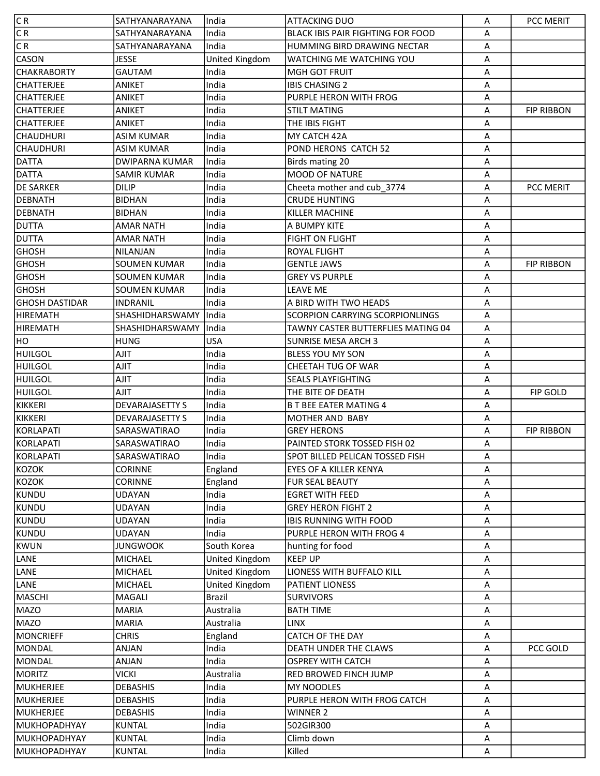| C R                    | SATHYANARAYANA                   | lIndia                          | <b>ATTACKING DUO</b>                               | Α                         | PCC MERIT         |
|------------------------|----------------------------------|---------------------------------|----------------------------------------------------|---------------------------|-------------------|
| C R                    | SATHYANARAYANA                   | India                           | BLACK IBIS PAIR FIGHTING FOR FOOD                  | Α                         |                   |
| C R                    | SATHYANARAYANA                   | India                           | HUMMING BIRD DRAWING NECTAR                        | A                         |                   |
| <b>CASON</b>           | <b>JESSE</b>                     | <b>United Kingdom</b>           | WATCHING ME WATCHING YOU                           | A                         |                   |
| <b>CHAKRABORTY</b>     | <b>GAUTAM</b>                    | India                           | <b>MGH GOT FRUIT</b>                               | A                         |                   |
| <b>CHATTERJEE</b>      | <b>ANIKET</b>                    | India                           | <b>IBIS CHASING 2</b>                              | $\boldsymbol{\mathsf{A}}$ |                   |
| <b>CHATTERJEE</b>      | ANIKET                           | India                           | PURPLE HERON WITH FROG                             | Α                         |                   |
| <b>CHATTERJEE</b>      | ANIKET                           | India                           | <b>STILT MATING</b>                                | A                         | <b>FIP RIBBON</b> |
| <b>CHATTERJEE</b>      | ANIKET                           | India                           | THE IBIS FIGHT                                     | Α                         |                   |
| <b>CHAUDHURI</b>       | <b>ASIM KUMAR</b>                | India                           | MY CATCH 42A                                       | A                         |                   |
| <b>CHAUDHURI</b>       | <b>ASIM KUMAR</b>                | India                           | POND HERONS CATCH 52                               | Α                         |                   |
| DATTA                  | <b>DWIPARNA KUMAR</b>            | India                           | Birds mating 20                                    | $\boldsymbol{\mathsf{A}}$ |                   |
| <b>DATTA</b>           | <b>SAMIR KUMAR</b>               | India                           | <b>MOOD OF NATURE</b>                              | A                         |                   |
| <b>DE SARKER</b>       | <b>DILIP</b>                     | India                           | Cheeta mother and cub_3774                         | Α                         | PCC MERIT         |
| <b>DEBNATH</b>         | <b>BIDHAN</b>                    | India                           | <b>CRUDE HUNTING</b>                               | A                         |                   |
| <b>DEBNATH</b>         | <b>BIDHAN</b>                    | India                           | KILLER MACHINE                                     | Α                         |                   |
| <b>DUTTA</b>           | <b>AMAR NATH</b>                 | India                           | A BUMPY KITE                                       | $\boldsymbol{\mathsf{A}}$ |                   |
| <b>DUTTA</b>           | <b>AMAR NATH</b>                 | India                           | <b>FIGHT ON FLIGHT</b>                             | A                         |                   |
| <b>GHOSH</b>           | <b>NILANJAN</b>                  | India                           | <b>ROYAL FLIGHT</b>                                | A                         |                   |
| <b>GHOSH</b>           | <b>SOUMEN KUMAR</b>              | India                           | <b>GENTLE JAWS</b>                                 | A                         | <b>FIP RIBBON</b> |
| <b>GHOSH</b>           | <b>SOUMEN KUMAR</b>              | India                           | <b>GREY VS PURPLE</b>                              | $\boldsymbol{\mathsf{A}}$ |                   |
| <b>GHOSH</b>           | <b>SOUMEN KUMAR</b>              | India                           | <b>LEAVE ME</b>                                    | A                         |                   |
| <b>GHOSH DASTIDAR</b>  | <b>INDRANIL</b>                  | India                           | A BIRD WITH TWO HEADS                              | $\boldsymbol{\mathsf{A}}$ |                   |
| <b>HIREMATH</b>        | SHASHIDHARSWAMY                  | India                           | <b>SCORPION CARRYING SCORPIONLINGS</b>             | A                         |                   |
| <b>HIREMATH</b>        | SHASHIDHARSWAMY                  | India                           | TAWNY CASTER BUTTERFLIES MATING 04                 | A                         |                   |
| HO                     | <b>HUNG</b>                      | <b>USA</b>                      | <b>SUNRISE MESA ARCH 3</b>                         | A                         |                   |
| <b>HUILGOL</b>         | AJIT                             | India                           | <b>BLESS YOU MY SON</b>                            | A                         |                   |
| <b>HUILGOL</b>         | AJIT                             | India                           | CHEETAH TUG OF WAR                                 | $\boldsymbol{\mathsf{A}}$ |                   |
| <b>HUILGOL</b>         | AJIT                             | India                           | <b>SEALS PLAYFIGHTING</b>                          | Α                         |                   |
| <b>HUILGOL</b>         | AJIT                             | India                           | THE BITE OF DEATH                                  | Α                         | <b>FIP GOLD</b>   |
| KIKKERI                | <b>DEVARAJASETTY S</b>           | India                           | <b>B T BEE EATER MATING 4</b>                      | A                         |                   |
| KIKKERI                | <b>DEVARAJASETTY S</b>           |                                 | <b>MOTHER AND BABY</b>                             | Α                         |                   |
|                        |                                  |                                 |                                                    |                           |                   |
|                        |                                  | India                           |                                                    |                           |                   |
| KORLAPATI<br>KORLAPATI | SARASWATIRAO<br>SARASWATIRAO     | India<br>India                  | <b>GREY HERONS</b><br>PAINTED STORK TOSSED FISH 02 | A<br>A                    | <b>FIP RIBBON</b> |
| KORLAPATI              | SARASWATIRAO                     | India                           |                                                    | Α                         |                   |
|                        |                                  |                                 | SPOT BILLED PELICAN TOSSED FISH                    | Α                         |                   |
| <b>KOZOK</b>           | <b>CORINNE</b><br><b>CORINNE</b> | England                         | EYES OF A KILLER KENYA<br><b>FUR SEAL BEAUTY</b>   | Α                         |                   |
| KOZOK                  | <b>UDAYAN</b>                    | England<br>India                | <b>EGRET WITH FEED</b>                             | Α                         |                   |
| KUNDU<br>KUNDU         | <b>UDAYAN</b>                    | India                           | <b>GREY HERON FIGHT 2</b>                          | Α                         |                   |
| KUNDU                  | <b>UDAYAN</b>                    | India                           | <b>IBIS RUNNING WITH FOOD</b>                      | Α                         |                   |
| KUNDU                  | <b>UDAYAN</b>                    | India                           | PURPLE HERON WITH FROG 4                           | Α                         |                   |
| KWUN                   | <b>JUNGWOOK</b>                  | South Korea                     | hunting for food                                   | A                         |                   |
|                        | <b>MICHAEL</b>                   | <b>United Kingdom</b>           | <b>KEEP UP</b>                                     | Α                         |                   |
| LANE<br>LANE           | MICHAEL                          |                                 | LIONESS WITH BUFFALO KILL                          | Α                         |                   |
| LANE                   | <b>MICHAEL</b>                   | United Kingdom                  | <b>PATIENT LIONESS</b>                             | Α                         |                   |
| MASCHI                 | MAGALI                           | United Kingdom<br><b>Brazil</b> | <b>SURVIVORS</b>                                   | Α                         |                   |
| <b>MAZO</b>            | <b>MARIA</b>                     | Australia                       | <b>BATH TIME</b>                                   | Α                         |                   |
| <b>MAZO</b>            | <b>MARIA</b>                     | Australia                       | <b>LINX</b>                                        | Α                         |                   |
| <b>MONCRIEFF</b>       | <b>CHRIS</b>                     | England                         | CATCH OF THE DAY                                   | Α                         |                   |
| MONDAL                 | ANJAN                            | India                           | DEATH UNDER THE CLAWS                              | Α                         | PCC GOLD          |
| MONDAL                 | ANJAN                            | India                           | <b>OSPREY WITH CATCH</b>                           | Α                         |                   |
| <b>MORITZ</b>          | <b>VICKI</b>                     | Australia                       | RED BROWED FINCH JUMP                              | Α                         |                   |
| <b>MUKHERJEE</b>       | <b>DEBASHIS</b>                  | India                           | MY NOODLES                                         | A                         |                   |
| <b>MUKHERJEE</b>       | <b>DEBASHIS</b>                  | India                           | PURPLE HERON WITH FROG CATCH                       | Α                         |                   |
| <b>MUKHERJEE</b>       | <b>DEBASHIS</b>                  | India                           | <b>WINNER 2</b>                                    | Α                         |                   |
| MUKHOPADHYAY           | <b>KUNTAL</b>                    | India                           | 502GIR300                                          | Α                         |                   |
| MUKHOPADHYAY           | <b>KUNTAL</b>                    | India                           | Climb down                                         | Α                         |                   |
| MUKHOPADHYAY           | <b>KUNTAL</b>                    | India                           | Killed                                             | Α                         |                   |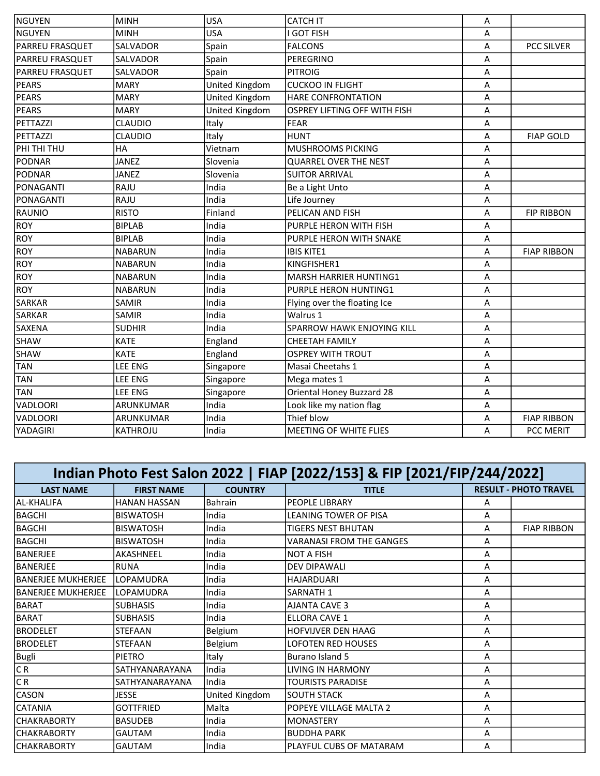| NGUYEN                 | <b>MINH</b>      | <b>USA</b>            | <b>CATCH IT</b>              | Α |                    |
|------------------------|------------------|-----------------------|------------------------------|---|--------------------|
| lnguyen                | <b>MINH</b>      | <b>USA</b>            | I GOT FISH                   | A |                    |
| <b>PARREU FRASQUET</b> | SALVADOR         | Spain                 | <b>FALCONS</b>               | Α | PCC SILVER         |
| <b>PARREU FRASQUET</b> | SALVADOR         | Spain                 | PEREGRINO                    | Α |                    |
| <b>PARREU FRASQUET</b> | SALVADOR         | Spain                 | <b>PITROIG</b>               | Α |                    |
| <b>PEARS</b>           | <b>MARY</b>      | United Kingdom        | <b>CUCKOO IN FLIGHT</b>      | A |                    |
| <b>PEARS</b>           | <b>MARY</b>      | United Kingdom        | <b>HARE CONFRONTATION</b>    | Α |                    |
| <b>PEARS</b>           | <b>MARY</b>      | <b>United Kingdom</b> | OSPREY LIFTING OFF WITH FISH | A |                    |
| PETTAZZI               | <b>CLAUDIO</b>   | Italy                 | <b>FEAR</b>                  | Α |                    |
| PETTAZZI               | <b>CLAUDIO</b>   | Italy                 | <b>HUNT</b>                  | A | <b>FIAP GOLD</b>   |
| PHI THI THU            | HA               | Vietnam               | MUSHROOMS PICKING            | Α |                    |
| PODNAR                 | <b>JANEZ</b>     | Slovenia              | <b>QUARREL OVER THE NEST</b> | A |                    |
| <b>PODNAR</b>          | <b>JANEZ</b>     | Slovenia              | <b>SUITOR ARRIVAL</b>        | A |                    |
| PONAGANTI              | RAJU             | India                 | Be a Light Unto              | A |                    |
| PONAGANTI              | RAJU             | India                 | Life Journey                 | A |                    |
| RAUNIO                 | <b>RISTO</b>     | Finland               | PELICAN AND FISH             | A | <b>FIP RIBBON</b>  |
| <b>ROY</b>             | <b>BIPLAB</b>    | India                 | PURPLE HERON WITH FISH       | Α |                    |
| <b>ROY</b>             | <b>BIPLAB</b>    | India                 | PURPLE HERON WITH SNAKE      | A |                    |
| ROY                    | <b>NABARUN</b>   | India                 | <b>IBIS KITE1</b>            | A | <b>FIAP RIBBON</b> |
| <b>ROY</b>             | <b>NABARUN</b>   | India                 | KINGFISHER1                  | A |                    |
| <b>ROY</b>             | <b>NABARUN</b>   | India                 | MARSH HARRIER HUNTING1       | Α |                    |
| <b>ROY</b>             | <b>NABARUN</b>   | India                 | PURPLE HERON HUNTING1        | A |                    |
| SARKAR                 | <b>SAMIR</b>     | India                 | Flying over the floating Ice | A |                    |
| SARKAR                 | SAMIR            | India                 | Walrus 1                     | A |                    |
| <b>SAXENA</b>          | <b>SUDHIR</b>    | India                 | SPARROW HAWK ENJOYING KILL   | Α |                    |
| <b>SHAW</b>            | <b>KATE</b>      | England               | <b>CHEETAH FAMILY</b>        | A |                    |
| SHAW                   | <b>KATE</b>      | England               | <b>OSPREY WITH TROUT</b>     | A |                    |
| TAN                    | <b>LEE ENG</b>   | Singapore             | Masai Cheetahs 1             | A |                    |
| <b>TAN</b>             | <b>LEE ENG</b>   | Singapore             | Mega mates 1                 | Α |                    |
| <b>TAN</b>             | LEE ENG          | Singapore             | Oriental Honey Buzzard 28    | A |                    |
| VADLOORI               | ARUNKUMAR        | India                 | Look like my nation flag     | A |                    |
| <b>VADLOORI</b>        | <b>ARUNKUMAR</b> | India                 | Thief blow                   | Α | <b>FIAP RIBBON</b> |
| YADAGIRI               | <b>KATHROJU</b>  | India                 | MEETING OF WHITE FLIES       | Α | <b>PCC MERIT</b>   |

| Indian Photo Fest Salon 2022   FIAP [2022/153] & FIP [2021/FIP/244/2022] |                     |                |                                 |   |                              |  |  |  |
|--------------------------------------------------------------------------|---------------------|----------------|---------------------------------|---|------------------------------|--|--|--|
| <b>LAST NAME</b>                                                         | <b>FIRST NAME</b>   | <b>COUNTRY</b> | <b>TITLE</b>                    |   | <b>RESULT - PHOTO TRAVEL</b> |  |  |  |
| AL-KHALIFA                                                               | <b>HANAN HASSAN</b> | <b>Bahrain</b> | <b>PEOPLE LIBRARY</b>           | A |                              |  |  |  |
| <b>BAGCHI</b>                                                            | <b>BISWATOSH</b>    | India          | LEANING TOWER OF PISA           | A |                              |  |  |  |
| <b>BAGCHI</b>                                                            | <b>BISWATOSH</b>    | India          | <b>TIGERS NEST BHUTAN</b>       | A | <b>FIAP RIBBON</b>           |  |  |  |
| <b>BAGCHI</b>                                                            | <b>BISWATOSH</b>    | India          | <b>VARANASI FROM THE GANGES</b> | A |                              |  |  |  |
| BANERJEE                                                                 | AKASHNEEL           | India          | <b>NOT A FISH</b>               | A |                              |  |  |  |
| <b>BANERJEE</b>                                                          | <b>RUNA</b>         | India          | <b>DEV DIPAWALI</b>             | A |                              |  |  |  |
| <b>BANERJEE MUKHERJEE</b>                                                | <b>LOPAMUDRA</b>    | India          | <b>HAJARDUARI</b>               | A |                              |  |  |  |
| BANERJEE MUKHERJEE                                                       | <b>LOPAMUDRA</b>    | India          | SARNATH 1                       | A |                              |  |  |  |
| <b>BARAT</b>                                                             | <b>SUBHASIS</b>     | India          | <b>AJANTA CAVE 3</b>            | A |                              |  |  |  |
| <b>BARAT</b>                                                             | <b>SUBHASIS</b>     | India          | ELLORA CAVE 1                   | A |                              |  |  |  |
| <b>BRODELET</b>                                                          | <b>STEFAAN</b>      | Belgium        | HOFVIJVER DEN HAAG              | Α |                              |  |  |  |
| <b>BRODELET</b>                                                          | <b>STEFAAN</b>      | Belgium        | <b>LOFOTEN RED HOUSES</b>       | A |                              |  |  |  |
| <b>Bugli</b>                                                             | PIETRO              | Italy          | Burano Island 5                 | A |                              |  |  |  |
| C R                                                                      | SATHYANARAYANA      | India          | LIVING IN HARMONY               | A |                              |  |  |  |
| CR                                                                       | SATHYANARAYANA      | India          | <b>TOURISTS PARADISE</b>        | A |                              |  |  |  |
| <b>CASON</b>                                                             | <b>JESSE</b>        | United Kingdom | <b>SOUTH STACK</b>              | A |                              |  |  |  |
| <b>CATANIA</b>                                                           | <b>GOTTFRIED</b>    | Malta          | POPEYE VILLAGE MALTA 2          | A |                              |  |  |  |
| <b>ICHAKRABORTY</b>                                                      | <b>BASUDEB</b>      | India          | <b>MONASTERY</b>                | A |                              |  |  |  |
| <b>CHAKRABORTY</b>                                                       | <b>GAUTAM</b>       | India          | <b>BUDDHA PARK</b>              | Α |                              |  |  |  |
| <b>CHAKRABORTY</b>                                                       | <b>GAUTAM</b>       | India          | PLAYFUL CUBS OF MATARAM         | A |                              |  |  |  |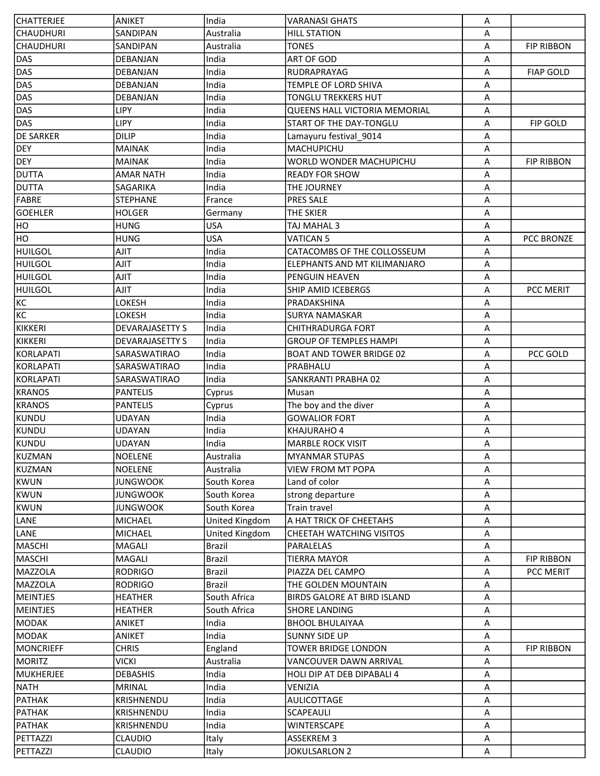| <b>CHATTERJEE</b> | <b>ANIKET</b>          | India          | <b>VARANASI GHATS</b>           | Α                         |                   |
|-------------------|------------------------|----------------|---------------------------------|---------------------------|-------------------|
| <b>CHAUDHURI</b>  | SANDIPAN               | Australia      | <b>HILL STATION</b>             | Α                         |                   |
| <b>CHAUDHURI</b>  | SANDIPAN               | Australia      | <b>TONES</b>                    | Α                         | <b>FIP RIBBON</b> |
| DAS               | DEBANJAN               | India          | <b>ART OF GOD</b>               | A                         |                   |
| DAS               | DEBANJAN               | India          | RUDRAPRAYAG                     | A                         | <b>FIAP GOLD</b>  |
| DAS               | DEBANJAN               | India          | TEMPLE OF LORD SHIVA            | Α                         |                   |
| DAS               | DEBANJAN               | India          | TONGLU TREKKERS HUT             | Α                         |                   |
| DAS               | <b>LIPY</b>            | India          | QUEENS HALL VICTORIA MEMORIAL   | Α                         |                   |
| DAS               | <b>LIPY</b>            | India          | START OF THE DAY-TONGLU         | Α                         | FIP GOLD          |
| <b>DE SARKER</b>  | <b>DILIP</b>           | India          | Lamayuru festival_9014          | Α                         |                   |
| <b>DEY</b>        | <b>MAINAK</b>          | India          | MACHUPICHU                      | Α                         |                   |
| <b>DEY</b>        | <b>MAINAK</b>          | India          | WORLD WONDER MACHUPICHU         | Α                         | <b>FIP RIBBON</b> |
| <b>DUTTA</b>      | <b>AMAR NATH</b>       | India          | <b>READY FOR SHOW</b>           | $\boldsymbol{\mathsf{A}}$ |                   |
| <b>DUTTA</b>      | SAGARIKA               | India          | THE JOURNEY                     | A                         |                   |
| FABRE             | <b>STEPHANE</b>        | France         | <b>PRES SALE</b>                | Α                         |                   |
| <b>GOEHLER</b>    | <b>HOLGER</b>          | Germany        | THE SKIER                       | A                         |                   |
| HO                | <b>HUNG</b>            | <b>USA</b>     | TAJ MAHAL 3                     | Α                         |                   |
| HO                | <b>HUNG</b>            | <b>USA</b>     | <b>VATICAN 5</b>                | Α                         | PCC BRONZE        |
| <b>HUILGOL</b>    | AJIT                   | India          | CATACOMBS OF THE COLLOSSEUM     | Α                         |                   |
| <b>HUILGOL</b>    | AJIT                   | India          | ELEPHANTS AND MT KILIMANJARO    | A                         |                   |
| HUILGOL           | AJIT                   | India          | PENGUIN HEAVEN                  | Α                         |                   |
| HUILGOL           | AJIT                   | India          | <b>SHIP AMID ICEBERGS</b>       | Α                         | PCC MERIT         |
| KC                | LOKESH                 | India          | PRADAKSHINA                     | Α                         |                   |
| KC                | LOKESH                 | India          | <b>SURYA NAMASKAR</b>           | Α                         |                   |
| KIKKERI           | <b>DEVARAJASETTY S</b> | India          | <b>CHITHRADURGA FORT</b>        | A                         |                   |
| KIKKERI           | <b>DEVARAJASETTY S</b> | India          | <b>GROUP OF TEMPLES HAMPI</b>   | Α                         |                   |
| KORLAPATI         | SARASWATIRAO           | India          | <b>BOAT AND TOWER BRIDGE 02</b> | A                         | PCC GOLD          |
| KORLAPATI         | SARASWATIRAO           | India          | PRABHALU                        | Α                         |                   |
| KORLAPATI         | SARASWATIRAO           | India          | SANKRANTI PRABHA 02             | Α                         |                   |
| <b>KRANOS</b>     | <b>PANTELIS</b>        | Cyprus         | Musan                           | Α                         |                   |
| <b>KRANOS</b>     | <b>PANTELIS</b>        | Cyprus         | The boy and the diver           | A                         |                   |
| KUNDU             | UDAYAN                 | India          | <b>GOWALIOR FORT</b>            | A                         |                   |
| KUNDU             | <b>UDAYAN</b>          | India          | KHAJURAHO 4                     | Α                         |                   |
| KUNDU             | UDAYAN                 | India          | <b>MARBLE ROCK VISIT</b>        | Α                         |                   |
| KUZMAN            | <b>NOELENE</b>         | lAustralia     | <b>MYANMAR STUPAS</b>           | A                         |                   |
| KUZMAN            | <b>NOELENE</b>         | Australia      | <b>VIEW FROM MT POPA</b>        | А                         |                   |
| KWUN              | <b>JUNGWOOK</b>        | South Korea    | Land of color                   | Α                         |                   |
| KWUN              | <b>JUNGWOOK</b>        | South Korea    | strong departure                | A                         |                   |
| KWUN              | <b>JUNGWOOK</b>        | South Korea    | Train travel                    | A                         |                   |
| LANE              | <b>MICHAEL</b>         | United Kingdom | A HAT TRICK OF CHEETAHS         | Α                         |                   |
| LANE              | <b>MICHAEL</b>         | United Kingdom | CHEETAH WATCHING VISITOS        | A                         |                   |
| MASCHI            | MAGALI                 | <b>Brazil</b>  | <b>PARALELAS</b>                | Α                         |                   |
| MASCHI            | MAGALI                 | <b>Brazil</b>  | <b>TIERRA MAYOR</b>             | Α                         | <b>FIP RIBBON</b> |
| MAZZOLA           | <b>RODRIGO</b>         | <b>Brazil</b>  | PIAZZA DEL CAMPO                | Α                         | PCC MERIT         |
| MAZZOLA           | <b>RODRIGO</b>         | Brazil         | THE GOLDEN MOUNTAIN             | Α                         |                   |
| MEINTJES          | <b>HEATHER</b>         | South Africa   | BIRDS GALORE AT BIRD ISLAND     | Α                         |                   |
| <b>MEINTJES</b>   | <b>HEATHER</b>         | South Africa   | <b>SHORE LANDING</b>            | A                         |                   |
| MODAK             | ANIKET                 | India          | <b>BHOOL BHULAIYAA</b>          | Α                         |                   |
| MODAK             | ANIKET                 | India          | <b>SUNNY SIDE UP</b>            | Α                         |                   |
| MONCRIEFF         | <b>CHRIS</b>           | England        | <b>TOWER BRIDGE LONDON</b>      | Α                         | <b>FIP RIBBON</b> |
| <b>MORITZ</b>     | VICKI                  | Australia      | VANCOUVER DAWN ARRIVAL          | Α                         |                   |
| MUKHERJEE         | <b>DEBASHIS</b>        | India          | HOLI DIP AT DEB DIPABALI 4      | Α                         |                   |
| <b>NATH</b>       | <b>MRINAL</b>          | India          | VENIZIA                         | Α                         |                   |
| PATHAK            | KRISHNENDU             | India          | AULICOTTAGE                     | A                         |                   |
| PATHAK            | KRISHNENDU             | India          | SCAPEAULI                       | Α                         |                   |
| PATHAK            | KRISHNENDU             | India          | <b>WINTERSCAPE</b>              | Α                         |                   |
| PETTAZZI          | <b>CLAUDIO</b>         | Italy          | ASSEKREM 3                      | A                         |                   |
| PETTAZZI          | <b>CLAUDIO</b>         | Italy          | <b>JOKULSARLON 2</b>            | A                         |                   |